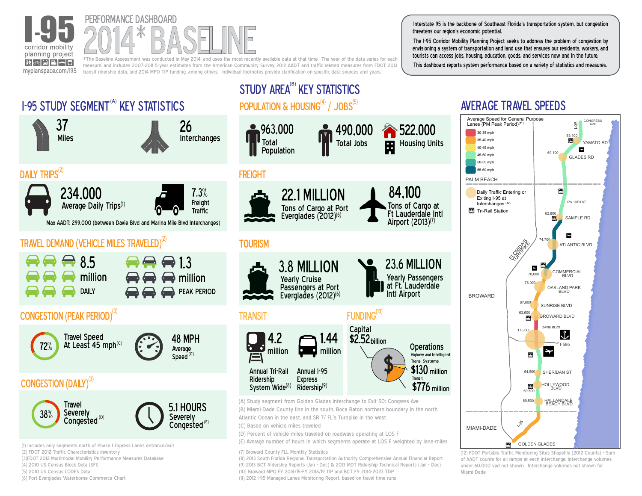



measure, and includes 2007-2011 5-year estimates from the American Community Survey, 2012 AADT and traffic related measures from FDOT, 2013 transit ridership data, and 2014 MPO TIP funding, among others. Individual footnotes provide clarification on specific data sources and years."

Interstate 95 is the backbone of Southeast Florida's transportation system, but congestion threatens our region's economic potential.

The I-95 Corridor Mobility Planning Project seeks to address the problem of congestion by envisioning a system of transportation and land use that ensures our residents, workers, and tourists can access jobs, housing, education, goods, and services now and in the future.

This dashboard reports system performance based on a variety of statistics and measures.

of AADT counts for all ramps at each interchange. Interchange volumes under 60,000 vpd not shown. Interchange volumes not shown for

Miami-Dade.



(8) 2013 South Florida Regional Transportation Authority Comprehensive Annual Financial Report (9) 2013 BCT Ridership Reports (Jan - Dec) & 2013 MDT Ridership Technical Reports (Jan - Dec)

(10) Broward MPO FY 2014/15-FY 2018/19 TIP and BCT FY 2014-2023 TDP (11) 2012 I-95 Managed Lanes Monitoring Report, based on travel time runs

(3)FDOT 2012 Multimodal Mobility Performance Measures Database

(4) 2010 US Census Block Data (SF1)

(5) 2010 US Census LODES Data

(6) Port Everglades Waterborne Commerce Chart